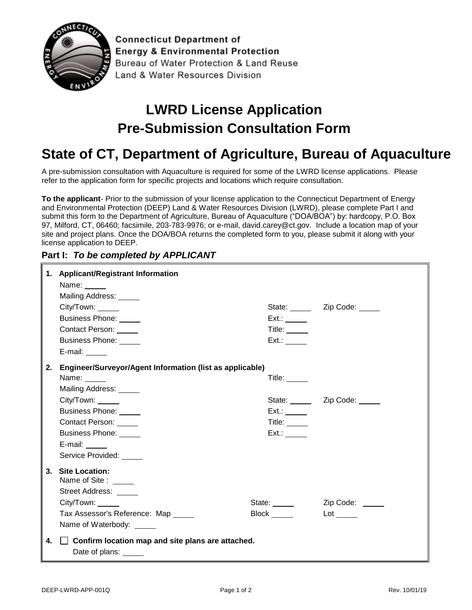

**Connecticut Department of Energy & Environmental Protection** Bureau of Water Protection & Land Reuse Land & Water Resources Division

## **LWRD License Application Pre-Submission Consultation Form**

## **State of CT, Department of Agriculture, Bureau of Aquaculture**

A pre-submission consultation with Aquaculture is required for some of the LWRD license applications. Please refer to the application form for specific projects and locations which require consultation.

**To the applicant**- Prior to the submission of your license application to the Connecticut Department of Energy and Environmental Protection (DEEP) Land & Water Resources Division (LWRD), please complete Part I and submit this form to the Department of Agriculture, Bureau of Aquaculture ("DOA/BOA") by: hardcopy, P.O. Box 97, Milford, CT, 06460; facsimile, 203-783-9976; or e-mail, [david.carey@ct.gov.](mailto:avid.carey@ct.gov) Include a location map of your site and project plans. Once the DOA/BOA returns the completed form to you, please submit it along with your license application to DEEP.

## **Part I:** *To be completed by APPLICANT*

|    | 1. Applicant/Registrant Information                                                                                   |                                |                                |
|----|-----------------------------------------------------------------------------------------------------------------------|--------------------------------|--------------------------------|
|    | Name: $\frac{1}{\sqrt{1-\frac{1}{2}}\sqrt{1-\frac{1}{2}}\sqrt{1-\frac{1}{2}}\sqrt{1-\frac{1}{2}}\sqrt{1-\frac{1}{2}}$ |                                |                                |
|    | Mailing Address: _____                                                                                                |                                |                                |
|    | City/Town: _____                                                                                                      |                                | State: _______ Zip Code: _____ |
|    | Business Phone: _____                                                                                                 | Ext.:                          |                                |
|    | Contact Person: _____                                                                                                 | Title: $\sqrt{ }$              |                                |
|    | Business Phone: _____                                                                                                 | $Ext.$ :                       |                                |
|    | E-mail:                                                                                                               |                                |                                |
|    | Engineer/Surveyor/Agent Information (list as applicable)<br>2.                                                        |                                |                                |
|    | Name:                                                                                                                 | Title: $\_\_\_\_\_\_\_\_\_\_\$ |                                |
|    | Mailing Address: _____                                                                                                |                                |                                |
|    | City/Town: _____                                                                                                      |                                | State: _______ Zip Code: _____ |
|    | Business Phone: _____                                                                                                 | $Ext.$ :                       |                                |
|    | Contact Person: _____                                                                                                 | Title: $\qquad \qquad$         |                                |
|    | Business Phone: _____                                                                                                 | $Ext.$ :                       |                                |
|    | E-mail: $\_\_\_\_\_\_\_\_\_\$                                                                                         |                                |                                |
|    | Service Provided: _____                                                                                               |                                |                                |
|    | 3. Site Location:<br>Name of Site : _____<br>Street Address: _____                                                    |                                |                                |
|    | City/Town:                                                                                                            | State: ______                  | Zip Code: _____                |
|    | Tax Assessor's Reference: Map _____                                                                                   |                                | $Lot \_\_$                     |
|    | Name of Waterbody: _____                                                                                              |                                |                                |
| 4. | $\Box$ Confirm location map and site plans are attached.<br>Date of plans: _____                                      |                                |                                |